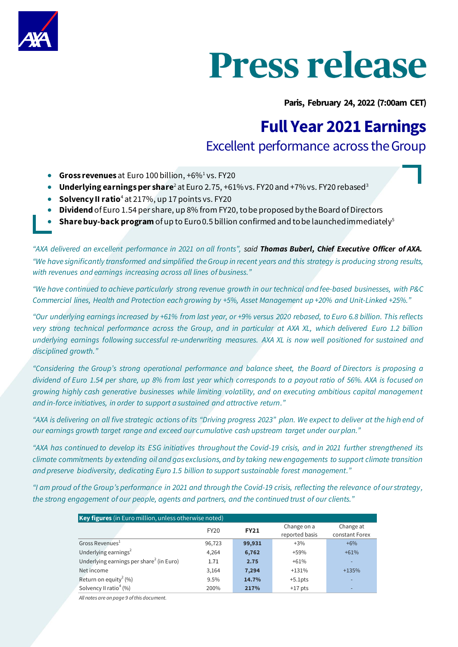

**Paris, February 24, 2022 (7:00am CET)**

# **Full Year 2021 Earnings**

### Excellent performance across the Group

- **Gross revenues** at Euro 100 billion, +6%<sup>1</sup> vs. FY20
- **Underlying earnings per share**<sup>2</sup> at Euro 2.75, +61% vs. FY20 and +7% vs. FY20 rebased<sup>3</sup>
- **Solvency II ratio**<sup>4</sup> at 217%, up 17 points vs. FY20
- **Dividend** of Euro 1.54 per share, up 8% from FY20, to be proposed by the Board of Directors
- **Share buy-back program** of up to Euro 0.5 billion confirmed and to be launched immediately<sup>5</sup>

*"AXA delivered an excellent performance in 2021 on all fronts", said Thomas Buberl, Chief Executive Officer of AXA. "We have significantly transformed and simplified the Group in recent years and this strategy is producing strong results, with revenues and earnings increasing across all lines of business."*

*"We have continued to achieve particularly strong revenue growth in our technical and fee-based businesses, with P&C Commercial lines, Health and Protection each growing by +5%, Asset Management up +20% and Unit-Linked +25%."*

*"Our underlying earnings increased by +61% from last year, or +9% versus 2020 rebased, to Euro 6.8 billion. This reflects very strong technical performance across the Group, and in particular at AXA XL, which delivered Euro 1.2 billion underlying earnings following successful re-underwriting measures. AXA XL is now well positioned for sustained and disciplined growth."*

*"Considering the Group's strong operational performance and balance sheet, the Board of Directors is proposing a dividend of Euro 1.54 per share, up 8% from last year which corresponds to a payout ratio of 56%. AXA is focused on growing highly cash generative businesses while limiting volatility, and on executing ambitious capital management and in-force initiatives, in order to support a sustained and attractive return."*

*"AXA is delivering on all five strategic actions of its "Driving progress 2023" plan. We expect to deliver at the high end of our earnings growth target range and exceed our cumulative cash upstream target under ourplan."*

*"AXA has continued to develop its ESG initiatives throughout the Covid-19 crisis, and in 2021 further strengthened its climate commitments by extending oil and gas exclusions, and by taking new engagements to support climate transition and preserve biodiversity, dedicating Euro 1.5 billion to support sustainable forest management."*

*"I am proud of the Group's performance in 2021 and through the Covid-19 crisis, reflecting the relevance of our strategy, the strong engagement of our people, agents and partners, and the continued trust of our clients."* 

| <b>Key figures</b> (in Euro million, unless otherwise noted) |             |             |                               |                             |  |  |  |  |  |  |
|--------------------------------------------------------------|-------------|-------------|-------------------------------|-----------------------------|--|--|--|--|--|--|
|                                                              | <b>FY20</b> | <b>FY21</b> | Change on a<br>reported basis | Change at<br>constant Forex |  |  |  |  |  |  |
| Gross Revenues <sup>1</sup>                                  | 96,723      | 99,931      | $+3%$                         | $+6%$                       |  |  |  |  |  |  |
| Underlying earnings <sup>2</sup>                             | 4,264       | 6,762       | +59%                          | $+61%$                      |  |  |  |  |  |  |
| Underlying earnings per share <sup>2</sup> (in Euro)         | 1.71        | 2.75        | $+61%$                        |                             |  |  |  |  |  |  |
| Net income                                                   | 3,164       | 7,294       | $+131%$                       | $+135%$                     |  |  |  |  |  |  |
| Return on equity <sup>2</sup> (%)                            | 9.5%        | 14.7%       | $+5.1$ pts                    |                             |  |  |  |  |  |  |
| Solvency II ratio $4$ (%)                                    | 200%        | 217%        | $+17$ pts                     |                             |  |  |  |  |  |  |

*All notes are on page 9 of this document.*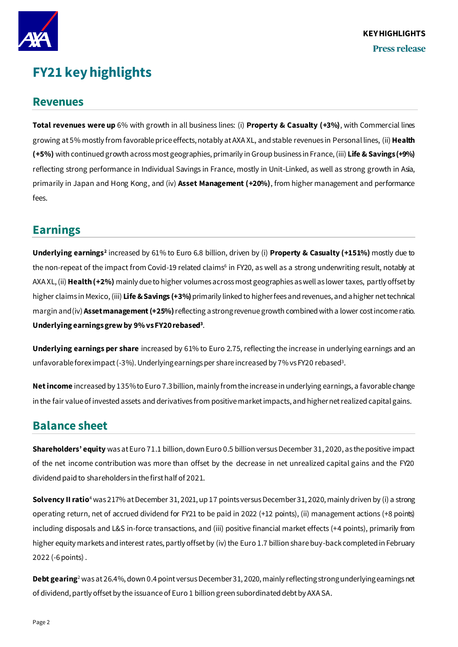

## **FY21 key highlights**

### **Revenues**

**Total revenues were up** 6% with growth in all business lines: (i) **Property & Casualty (+3%)**, with Commercial lines growing at 5% mostly from favorable price effects, notably at AXA XL, and stable revenues in Personal lines, (ii) **Health (+5%)** with continued growth across most geographies, primarily in Group business in France, (iii) **Life & Savings (+9%)** reflecting strong performance in Individual Savings in France, mostly in Unit-Linked, as well as strong growth in Asia, primarily in Japan and Hong Kong, and (iv) **Asset Management (+20%)**, from higher management and performance fees.

### **Earnings**

**Underlying earnings<sup>2</sup> increased by 61% to Euro 6.8 billion, driven by (i) Property & Casualty (+151%) mostly due to** the non-repeat of the impact from Covid-19 related claims<sup>6</sup> in FY20, as well as a strong underwriting result, notably at AXA XL, (ii) **Health (+2%)** mainly due to higher volumes across most geographies as well as lower taxes, partly offset by higher claims in Mexico, (iii) **Life & Savings (+3%)**primarily linked to higher fees and revenues, and a higher net technical margin and (iv) **Asset management (+25%)**reflecting a strong revenue growth combined with a lower cost income ratio. **Underlying earnings grew by 9% vs FY20 rebased<sup>3</sup>** .

**Underlying earnings per share** increased by 61% to Euro 2.75, reflecting the increase in underlying earnings and an unfavorable forex impact (-3%). Underlying earnings per share increased by 7% vs FY20 rebased $^3\!$ 

**Net income** increased by 135% to Euro 7.3billion, mainly fromthe increase in underlying earnings, a favorable change in the fair value of invested assets and derivatives from positivemarket impacts, and higher net realized capital gains.

### **Balance sheet**

**Shareholders' equity** was at Euro 71.1 billion, down Euro 0.5 billion versus December 31, 2020, as the positive impact of the net income contribution was more than offset by the decrease in net unrealized capital gains and the FY20 dividend paid to shareholders in the first half of 2021.

**Solvency II ratio**<sup>4</sup> was 217% at December 31, 2021, up 17 points versus December 31, 2020, mainly driven by (i) a strong operating return, net of accrued dividend for FY21 to be paid in 2022 (+12 points), (ii) management actions (+8 points) including disposals and L&S in-force transactions, and (iii) positive financial market effects (+4 points), primarily from higher equity markets and interest rates, partly offset by (iv) the Euro 1.7 billion share buy-back completed in February 2022 (-6 points) .

**Debt gearing**<sup>2</sup> was at 26.4%, down 0.4point versus December 31, 2020, mainly reflecting strongunderlying earnings net of dividend, partly offsetby the issuance of Euro 1 billion green subordinated debt by AXA SA.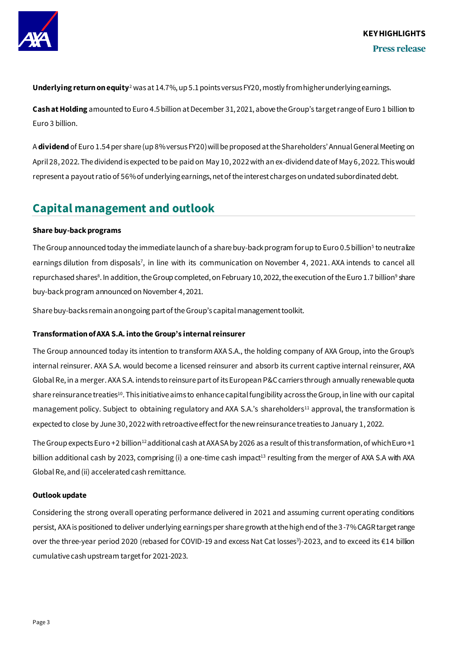

**Underlying return on equity**<sup>2</sup> was at 14.7%, up 5.1points versus FY20, mostly from higher underlying earnings.

**Cash at Holding** amounted to Euro 4.5billion at December 31, 2021, above the Group's targetrange of Euro 1 billion to Euro 3 billion.

A **dividend**of Euro 1.54per share (up 8% versus FY20) will be proposed at the Shareholders' Annual General Meeting on April 28, 2022. The dividend is expected to be paid on May 10, 2022 with an ex-dividend date of May 6, 2022. This would represent a payout ratio of 56% of underlyingearnings, net of the interest charges on undated subordinated debt.

### **Capital management and outlook**

#### **Share buy-back programs**

The Group announced today the immediate launch of a share buy-back program for up to Euro 0.5 billion<sup>5</sup> to neutralize earnings dilution from disposals<sup>7</sup>, in line with its communication on November 4, 2021. AXA intends to cancel all repurchased shares<sup>8</sup>. In addition, the Group completed, on February 10, 2022, the execution of the Euro 1.7 billion<sup>9</sup> share buy-back program announced on November 4, 2021.

Share buy-backs remain an ongoing part of theGroup's capital management toolkit.

#### **Transformation of AXA S.A. into the Group's internal reinsurer**

The Group announced today its intention to transform AXA S.A., the holding company of AXA Group, into the Group's internal reinsurer. AXA S.A. would become a licensed reinsurer and absorb its current captive internal reinsurer, AXA Global Re, in a merger. AXA S.A. intends to reinsure part of its European P&C carriers through annually renewable quota share reinsurance treaties<sup>10</sup>. This initiative aims to enhance capital fungibility across the Group, in line with our capital management policy. Subject to obtaining regulatory and AXA S.A.'s shareholders<sup>11</sup> approval, the transformation is expected to close by June 30, 2022 with retroactive effect for the new reinsurance treaties to January 1, 2022.

The Group expects Euro +2 billion<sup>12</sup> additional cash at AXA SA by 2026 as a result of this transformation, of which Euro +1 billion additional cash by 2023, comprising (i) a one-time cash impact<sup>13</sup> resulting from the merger of AXA S.A with AXA Global Re, and (ii) accelerated cash remittance.

#### **Outlook update**

Considering the strong overall operating performance delivered in 2021 and assuming current operating conditions persist, AXA is positioned to deliver underlying earnings per share growth at the high end of the 3-7% CAGR target range over the three-year period 2020 (rebased for COVID-19 and excess Nat Cat lossesª)-2023, and to exceed its €14 billion cumulative cash upstream target for 2021-2023.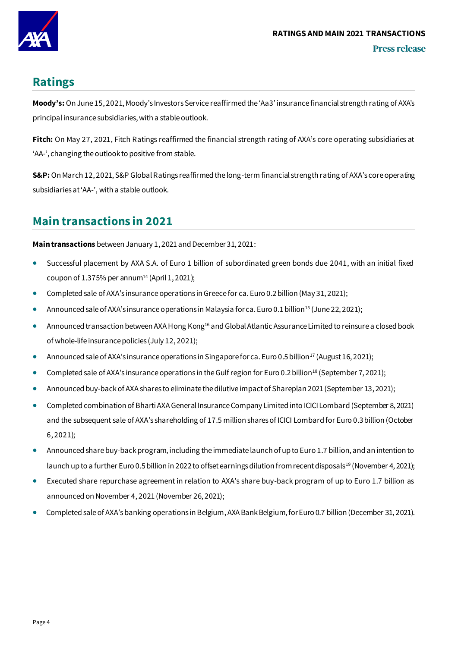

### **Ratings**

**Moody's:** On June 15, 2021, Moody's Investors Service reaffirmed the 'Aa3' insurance financial strength rating of AXA's principal insurance subsidiaries, with a stable outlook.

**Fitch:** On May 27, 2021, Fitch Ratings reaffirmed the financial strength rating of AXA's core operating subsidiaries at 'AA-', changing the outlook to positive from stable.

**S&P:** On March 12, 2021, S&P Global Ratings reaffirmed the long-term financial strength rating of AXA's core operating subsidiaries at 'AA-', with a stable outlook.

### **Main transactions in 2021**

**Main transactions** between January 1, 2021 and December 31, 2021:

- Successful placement by AXA S.A. of Euro 1 billion of subordinated green bonds due 2041, with an initial fixed coupon of  $1.375\%$  per annum<sup>14</sup> (April  $1,2021$ );
- Completed sale of AXA's insurance operations in Greece for ca. Euro 0.2 billion (May 31, 2021);
- Announced sale of AXA's insurance operations in Malaysia for ca. Euro 0.1 billion<sup>15</sup> (June 22, 2021);
- Announced transaction between AXA Hong Kong<sup>16</sup> and Global Atlantic Assurance Limited to reinsure a closed book of whole-life insurance policies (July 12, 2021);
- Announced sale of AXA's insurance operations in Singapore for ca. Euro 0.5 billion<sup>17</sup> (August 16, 2021);
- Completed sale of AXA's insurance operations in the Gulf region for Euro 0.2 billion<sup>18</sup> (September 7, 2021);
- Announced buy-back of AXA shares to eliminate the dilutive impact of Shareplan 2021 (September 13, 2021);
- Completed combination of Bharti AXA General Insurance Company Limited into ICICI Lombard (September 8, 2021) and the subsequent sale of AXA's shareholding of 17.5 million shares of ICICI Lombard for Euro 0.3 billion (October 6, 2021);
- Announced share buy-back program, including the immediate launch of up to Euro 1.7 billion, and an intention to launch up to a further Euro 0.5 billion in 2022 to offset earnings dilution from recent disposals<sup>19</sup> (November 4, 2021);
- Executed share repurchase agreement in relation to AXA's share buy-back program of up to Euro 1.7 billion as announced on November 4, 2021 (November 26, 2021);
- Completed sale of AXA's banking operations in Belgium, AXA Bank Belgium, for Euro 0.7 billion (December 31, 2021).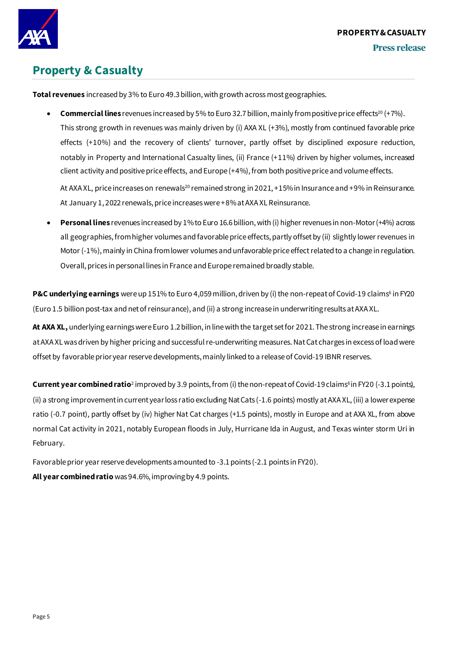

### **Property & Casualty**

**Total revenues** increased by 3% to Euro 49.3billion, with growth across most geographies.

**Commercial lines** revenues increased by 5% to Euro 32.7 billion, mainly from positive price effects<sup>20</sup> (+7%). This strong growth in revenues was mainly driven by (i) AXA XL (+3%), mostly from continued favorable price effects (+10%) and the recovery of clients' turnover, partly offset by disciplined exposure reduction, notably in Property and International Casualty lines, (ii) France (+11%) driven by higher volumes, increased client activity and positive price effects, and Europe (+4%), from both positive price and volume effects.

At AXA XL, price increases on renewals<sup>20</sup> remained strong in 2021, +15% in Insurance and +9% in Reinsurance. At January 1, 2022 renewals, price increases were +8% at AXA XL Reinsurance.

• **Personal lines** revenues increased by 1% to Euro 16.6billion, with (i) higher revenues in non-Motor (+4%) across all geographies, from higher volumes and favorable price effects, partly offset by (ii) slightly lower revenues in Motor (-1%), mainly in China from lower volumes and unfavorable price effect related to a change in regulation. Overall, prices in personal lines in France and Europe remained broadly stable.

P&C underlying earnings were up 151% to Euro 4,059 million, driven by (i) the non-repeat of Covid-19 claims<sup>6</sup> in FY20 (Euro 1.5 billion post-tax and net of reinsurance), and (ii) a strong increase in underwriting resultsat AXA XL.

**At AXA XL,** underlying earnings were Euro 1.2 billion, in line with the target set for 2021. The strong increase in earnings at AXA XL was driven by higher pricing and successful re-underwriting measures. Nat Cat charges in excess of load were offset by favorable prior year reserve developments,mainly linked to a releaseof Covid-19 IBNR reserves.

**Current year combined ratio**<sup>2</sup> improved by 3.9 points, from (i) the non-repeat of Covid-19 claims<sup>6</sup> in FY20 (-3.1 points), (ii) a strong improvement in current year loss ratio excluding Nat Cats (-1.6 points) mostly atAXA XL,(iii) a lower expense ratio (-0.7 point), partly offset by (iv) higher Nat Cat charges (+1.5 points), mostly in Europe and at AXA XL, from above normal Cat activity in 2021, notably European floods in July, Hurricane Ida in August, and Texas winter storm Uri in February.

Favorable prior year reserve developments amounted to -3.1points (-2.1 points in FY20). **All year combined ratio** was 94.6%, improving by 4.9 points.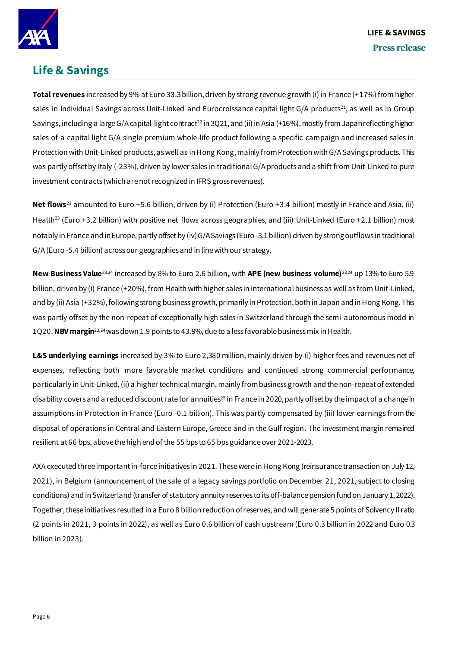

### **Life & Savings**

**Total revenues** increased by 9% at Euro 33.3billion, driven by strong revenue growth (i) in France (+17%) from higher sales in Individual Savings across Unit-Linked and Eurocroissance capital light G/A products<sup>21</sup>, as well as in Group Savings, including a large G/A capital-light contract<sup>22</sup> in 3Q21, and (ii) in Asia (+16%), mostly from Japan reflecting higher sales of a capital light G/A single premium whole-life product following a specific campaign and increased sales in Protection with Unit-Linked products, as well as in Hong Kong, mainly from Protection with G/A Savings products. This was partly offset by Italy (-23%), driven by lower sales in traditional G/A products and a shift from Unit-Linked to pure investment contracts (which are not recognized in IFRS gross revenues).

**Net flows**<sup>23</sup> amounted to Euro +5.6 billion, driven by (i) Protection (Euro +3.4 billion) mostly in France and Asia, (ii) Health<sup>23</sup> (Euro +3.2 billion) with positive net flows across geographies, and (iii) Unit-Linked (Euro +2.1 billion) most notably in France and in Europe, partly offset by (iv) G/A Savings (Euro -3.1billion) driven by strong outflows in traditional G/A (Euro -5.4 billion) across our geographies and in line with our strategy.

**New Business Value**23,24 increased by 8% to Euro 2.6 billion**,** with **APE (new business volume)**23,24 up 13% to Euro 5.9 billion, driven by (i) France (+20%), from Health with higher sales in international business as well as from Unit-Linked, and by (ii) Asia (+32%), following strong business growth, primarily in Protection, both in Japan and in Hong Kong. This was partly offset by the non-repeat of exceptionally high sales in Switzerland through the semi-autonomous model in 1Q20. **NBV margin**23,24was down 1.9 points to 43.9%, due to a less favorable business mix in Health.

**L&S underlying earnings** increased by 3% to Euro 2,380 million, mainly driven by (i) higher fees and revenues net of expenses, reflecting both more favorable market conditions and continued strong commercial performance, particularly in Unit-Linked, (ii) a higher technical margin, mainly from business growth and the non-repeat of extended disability covers and a reduced discount rate for annuities<sup>25</sup> in France in 2020, partly offset by the impact of a change in assumptions in Protection in France (Euro -0.1 billion). This was partly compensated by (iii) lower earnings from the disposal of operations in Central and Eastern Europe, Greece and in the Gulf region. The investment margin remained resilient at 66 bps, above the high end of the 55 bps to 65 bps guidance over 2021-2023.

AXA executed threeimportantin-force initiatives in 2021. These were in Hong Kong (reinsurance transaction on July 12, 2021), in Belgium (announcement of the sale of a legacy savings portfolio on December 21, 2021, subject to closing conditions) and in Switzerland (transfer of statutory annuity reserves to its off-balance pension fund on January 1, 2022). Together, these initiatives resulted in a Euro 8 billion reduction of reserves, and will generate 5 points of Solvency II ratio (2 points in 2021, 3 points in 2022), as well as Euro 0.6 billion of cash upstream (Euro 0.3 billion in 2022 and Euro 0.3 billion in 2023).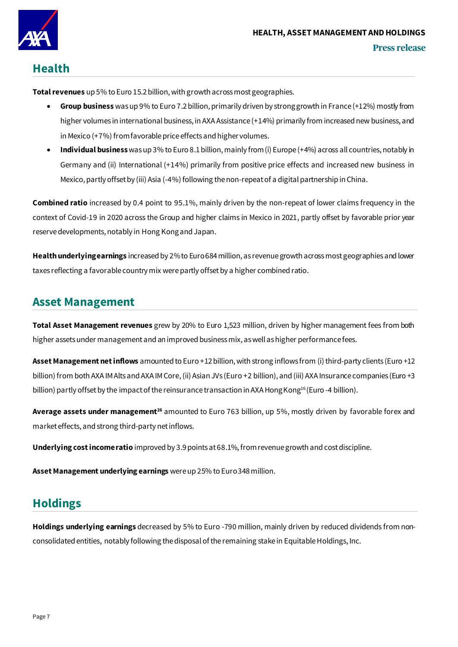

### **Health**

**Total revenues** up 5% to Euro 15.2 billion, with growth across most geographies.

- **Group business** was up 9% to Euro 7.2 billion, primarily driven by strong growth in France (+12%) mostly from higher volumes in international business, in AXA Assistance (+14%) primarily from increased new business, and in Mexico (+7%) from favorable price effects and higher volumes.
- **Individual business** was up 3% to Euro 8.1 billion, mainly from (i) Europe (+4%) across all countries, notably in Germany and (ii) International (+14%) primarily from positive price effects and increased new business in Mexico, partly offset by (iii) Asia (-4%) following the non-repeat of a digital partnership in China.

**Combined ratio** increased by 0.4 point to 95.1%, mainly driven by the non-repeat of lower claims frequency in the context of Covid-19 in 2020 across the Group and higher claims in Mexico in 2021, partly offset by favorable prior year reserve developments, notably in Hong Kong and Japan.

**Health underlying earnings** increased by 2% to Euro 684million, as revenue growth across most geographies and lower taxes reflecting a favorable country mix were partly offset by a higher combined ratio.

### **Asset Management**

**Total Asset Management revenues** grew by 20% to Euro 1,523 million, driven by higher management fees from both higher assetsunder management and an improved business mix, as well as higher performance fees.

**Asset Management net inflows** amounted to Euro +12 billion, with strong inflows from (i) third-party clients (Euro +12 billion) from both AXA IM Alts and AXA IM Core, (ii) Asian JVs (Euro +2 billion), and (iii) AXA Insurance companies (Euro +3 billion) partly offset by the impact of the reinsurance transaction in AXA Hong Kong<sup>16</sup> (Euro -4 billion).

**Average assets under management<sup>26</sup>** amounted to Euro 763 billion, up 5%, mostly driven by favorable forex and market effects, and strong third-party net inflows.

**Underlying cost income ratio** improved by 3.9points at 68.1%, fromrevenue growth and cost discipline.

**Asset Management underlying earnings** were up 25% to Euro 348 million.

### **Holdings**

**Holdings underlying earnings** decreased by 5% to Euro -790 million, mainly driven by reduced dividends from nonconsolidated entities, notably following the disposal of the remaining stake in Equitable Holdings, Inc.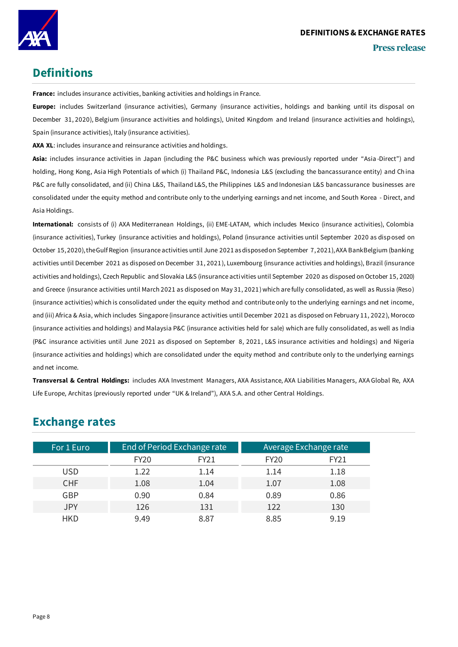

### **Definitions**

**France:** includes insurance activities, banking activities and holdings in France.

**Europe:** includes Switzerland (insurance activities), Germany (insurance activities , holdings and banking until its disposal on December 31, 2020), Belgium (insurance activities and holdings), United Kingdom and Ireland (insurance activities and holdings), Spain (insurance activities), Italy (insurance activities).

**AXA XL**: includes insurance and reinsurance activities and holdings.

**Asia:** includes insurance activities in Japan (including the P&C business which was previously reported under "Asia -Direct") and holding, Hong Kong, Asia High Potentials of which (i) Thailand P&C, Indonesia L&S (excluding the bancassurance entity) and Ch ina P&C are fully consolidated, and (ii) China L&S, Thailand L&S, the Philippines L&S and Indonesian L&S bancassurance businesses are consolidated under the equity method and contribute only to the underlying earnings and net income, and South Korea - Direct, and Asia Holdings.

**International:** consists of (i) AXA Mediterranean Holdings, (ii) EME-LATAM, which includes Mexico (insurance activities), Colombia (insurance activities), Turkey (insurance activities and holdings), Poland (insurance activities until September 2020 as disposed on October 15, 2020), the Gulf Region (insurance activities until June 2021 as disposed on September 7, 2021), AXA Bank Belgium (banking activities until December 2021 as disposed on December 31, 2021), Luxembourg (insurance activities and holdings), Brazil (insurance activities and holdings), Czech Republic and Slovakia L&S (insurance activities until September 2020 as disposed on October 15, 2020) and Greece (insurance activities until March 2021 as disposed on May 31, 2021) which are fully consolidated, as well as Russia (Reso) (insurance activities) which is consolidated under the equity method and contribute only to the underlying earnings and net income, and (iii) Africa & Asia, which includes Singapore (insurance activities until December 2021 as disposed on February 11, 2022), Morocco (insurance activities and holdings) and Malaysia P&C (insurance activities held for sale) which are fully consolidated, as well as India (P&C insurance activities until June 2021 as disposed on September 8, 2021, L&S insurance activities and holdings) and Nigeria (insurance activities and holdings) which are consolidated under the equity method and contribute only to the underlying earnings and net income.

**Transversal & Central Holdings:** includes AXA Investment Managers, AXA Assistance, AXA Liabilities Managers, AXA Global Re, AXA Life Europe, Architas (previously reported under "UK & Ireland"), AXA S.A. and other Central Holdings.

### **Exchange rates**

| For 1 Euro |             | End of Period Exchange rate | Average Exchange rate |      |  |
|------------|-------------|-----------------------------|-----------------------|------|--|
|            | <b>FY20</b> | FY21                        | <b>FY20</b>           | FY21 |  |
| <b>USD</b> | 1.22        | 1.14                        | 1.14                  | 1.18 |  |
| <b>CHF</b> | 1.08        | 1.04                        | 1.07                  | 1.08 |  |
| GBP        | 0.90        | 0.84                        | 0.89                  | 0.86 |  |
| <b>JPY</b> | 126         | 131                         | 122                   | 130  |  |
| <b>HKD</b> | 9.49        | 8.87                        | 8.85                  | 9.19 |  |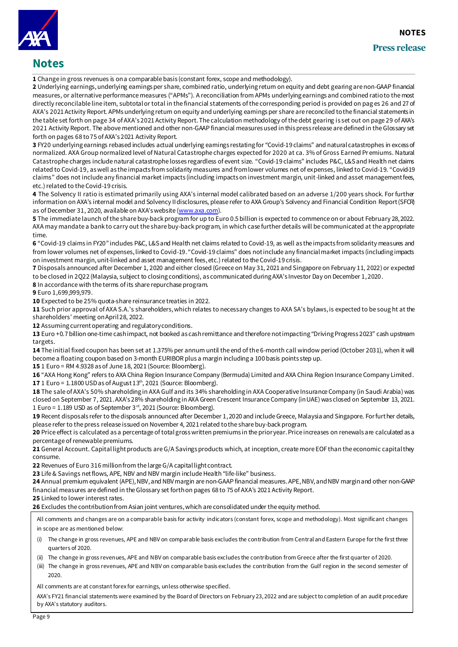

### **Notes**

**1** Change in gross revenues is on a comparable basis (constant forex, scope and methodology).

**2** Underlying earnings, underlying earnings per share, combined ratio, underlying return on equity and debt gearing are non-GAAP financial measures, or alternative performance measures ("APMs"). A reconciliation from APMs underlying earnings and combined ratio to the most directly reconcilable line item, subtotal or total in the financial statements of the corresponding period is provided on pag es 26 and 27 of AXA's 2021 Activity Report. APMs underlying retum on equity and underlying eamings per share are reconciled to the financial statements in the table set forth on page 34 of AXA's 2021 Activity Report. The calculation methodology of the debt gearing is set out on page 29 of AXA's 2021 Activity Report. The above mentioned and other non-GAAP financial measures used in this press release are defined in the Glossary set forth on pages 68 to 75 of AXA's 2021 Activity Report.

**3** FY20 underlying earnings rebased includes actual underlying earnings restating for "Covid-19 claims" and natural catastrophes in excess of normalized. AXA Group normalized level of Natural Catastrophe charges expected for 2020 at ca. 3% of Gross Earned Pr emiums. Natural Catastrophe charges include natural catastrophe losses regardless of event size. "Covid-19 claims" includes P&C, L&S and Health net claims related to Covid-19, as well as the impacts from solidarity measures and from lower volumes net of expenses, linked to Covid-19. "Covid-19 claims" does not include any financial market impacts (including impacts on investment margin, unit-linked and asset management fees, etc.) related to the Covid-19 crisis.

**4** The Solvency II ratio is estimated primarily using AXA's internal model calibrated based on an adverse 1/200 years shock. For further information on AXA's internal model and Solvency II disclosures, please refer to AXA Group's Solvency and Financial Condition Report (SFCR) as of December 31, 2020, available on AXA's website ([www.axa.com](file://///matfic00/Directions/GMS-ComFi/ANNEE-2021/Earnings/FY20/05.%20Press%20release/www.axa.com)).

**5** The immediate launch of the share buy-back program for up to Euro 0.5 billion is expected to commence on or about February 28, 2022. AXA may mandate a bank to carry out the share buy-back program, in which case further details will be communicated at the appropriate time.

**6** "Covid-19 claims in FY20" includes P&C, L&S and Health net claims related to Covid-19, as well as the impacts from solidarity measures and from lower volumes net of expenses, linked to Covid-19. "Covid-19 claims" does not include any financial market impacts (including impacts on investment margin, unit-linked and asset management fees, etc.) related to the Covid-19 crisis.

**7** Disposals announced after December 1, 2020 and either closed (Greece on May 31, 2021 and Singapore on February 11, 2022) or expected to be closed in 2Q22 (Malaysia, subject to closing conditions), as communicated during AXA's Investor Day on December 1, 2020.

**8** In accordance with the terms of its share repurchase program.

**9** Euro 1,699,999,979.

**10** Expected to be 25% quota-share reinsurance treaties in 2022.

**11** Such prior approval of AXA S.A.'s shareholders, which relates to necessary changes to AXA SA's bylaws, is expected to be soug ht at the shareholders' meeting on April 28, 2022.

**12** Assuming current operating and regulatory conditions.

**13** Euro +0.7 billion one-time cash impact, not booked as cash remittance and therefore not impacting "DrivingProgress 2023" cash upstream targets.

**14** The initial fixed coupon has been set at 1.375% per annum until the end of the 6-month call window period (October 2031), when it will become a floating coupon based on 3-month EURIBOR plus a margin including a 100 basis points step up.

**15** 1 Euro = RM 4.9328 as of June 18, 2021 (Source: Bloomberg).

**16** "AXA Hong Kong" refers to AXA China Region Insurance Company (Bermuda) Limited and AXA China Region Insurance Company Limited. **17** 1 Euro = 1.1800 USD as of August 13<sup>th</sup>, 2021 (Source: Bloomberg).

**18** The sale of AXA's 50% shareholding in AXA Gulf and its 34% shareholding in AXA Cooperative Insurance Company (in Saudi Arabia) was closed on September 7, 2021. AXA's 28% shareholding in AXA Green Crescent Insurance Company (in UAE) was closed on September 13, 2021. 1 Euro = 1.189 USD as of September 3<sup>rd</sup>, 2021 (Source: Bloomberg).

19 Recent disposals refer to the disposals announced after December 1, 2020 and include Greece, Malaysia and Singapore. For further details, please refer to the press release issued on November 4, 2021 related to the share buy-back program.

20 Price effect is calculated as a percentage of total gross written premiums in the prior year. Price increases on renewals are calculated as a percentage of renewable premiums.

**21** General Account. Capital light products are G/A Savings products which, at inception, create more EOF than the economic capital they consume.

**22** Revenues of Euro 316 million from the large G/A capital light contract.

**23** Life & Savings net flows, APE, NBV and NBV margin include Health "life-like" business.

**24** Annual premium equivalent (APE), NBV, and NBV margin are non-GAAP financial measures. APE, NBV, and NBV margin and other non-GAAP financial measures are defined in the Glossary set forth on pages 68 to 75 of AXA's 2021 Activity Report.

**25** Linked to lower interest rates.

**26** Excludes the contribution from Asian joint ventures, which are consolidated under the equity method.

All comments and changes are on a comparable basis for activity indicators (constant forex, scope and methodology). Most significant changes in scope are as mentioned below:

- (i) The change in gross revenues, APE and NBV on comparable basis excludes the contribution from Central and Eastern Europe for the first three quarters of 2020.
- (ii) The change in gross revenues, APE and NBV on comparable basis excludes the contribution from Greece after the first quarter of 2020.
- (iii) The change in gross revenues, APE and NBV on comparable basis excludes the contribution from the Gulf region in the second semester of 2020.

All comments are at constant forex for earnings, unless otherwise specified.

AXA's FY21 financial statements were examined by the Board of Directors on February 23, 2022 and are subject to completion of an audit procedure by AXA's statutory auditors.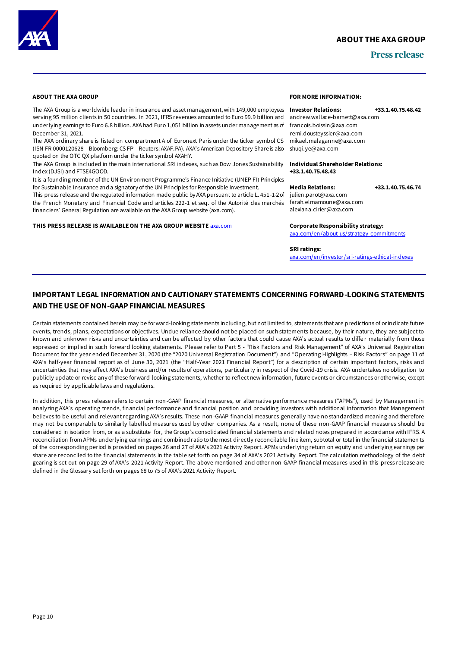#### **ABOUT THE AXA GROUP**

#### **Press release**

#### **ABOUT THE AXA GROUP**

The AXA Group is a worldwide leader in insurance and asset management, with 149,000 employees **Investor Relations: +33.1.40.75.48.42** serving 95 million clients in 50 countries. In 2021, IFRS revenues amounted to Euro 99.9 billion and underlying earnings to Euro 6.8 billion. AXA had Euro 1,051 billion in assets under management as of December 31, 2021.

The AXA ordinary share is listed on compartment A of Euronext Paris under the ticker symbol CS mikael.malaganne@axa.com (ISN FR 0000120628 –Bloomberg: CS FP –Reuters: AXAF.PA). AXA's American Depository Share is also shuqi.ye@axa.com quoted on the OTC QX platform under the ticker symbol AXAHY.

The AXA Group is included in the main international SRI indexes, such as Dow Jones Sustainability Index (DJSI) and FTSE4GOOD.

It is a founding member of the UN Environment Programme's Finance Initiative (UNEP FI) Principles for Sustainable Insurance and a signatory of the UN Principles for Responsible Investment.

This press release and the regulated information made public by AXA pursuant to article L. 451-1-2 of the French Monetary and Financial Code and articles 222-1 et seq. of the Autorité des marchés financiers' General Regulation are available on the AXA Group website (axa.com).

#### **THIS PRESS RELEASE IS AVAILABLE ON THE AXA GROUP WEBSITE** [axa.com](https://www.axa.com/)

#### **FOR MORE INFORMATION:**

#### andrew.wallace-barnett@axa.com francois.boissin@axa.com remi.dousteyssier@axa.com

#### **Individual Shareholder Relations: +33.1.40.75.48.43**

#### **Media Relations: +33.1.40.75.46.74**

julien.parot@axa.com farah.elmamoune@axa.com alexiana.cirier@axa.com

#### **Corporate Responsibility strategy:**

[axa.com/en/about-us/strategy-commitments](https://www.axa.com/en/about-us/strategy-commitments)

#### **SRI ratings:**

[axa.com/en/investor/sri-ratings-ethical-indexes](https://www.axa.com/en/investor/sri-ratings-ethical-indexes)

#### **IMPORTANT LEGAL INFORMATION AND CAUTIONARY STATEMENTS CONCERNING FORWARD-LOOKING STATEMENTS AND THE USE OF NON-GAAP FINANCIAL MEASURES**

Certain statements contained herein may be forward-looking statements including, but not limited to, statements that are predictions of or indicate future events, trends, plans, expectations or objectives. Undue reliance should not be placed on such statements because, by their nature, they are subject to known and unknown risks and uncertainties and can be affected by other factors that could cause AXA's actual results to diffe r materially from those expressed or implied in such forward looking statements. Please refer to Part 5 - "Risk Factors and Risk Management" of AXA's Universal Registration Document for the year ended December 31, 2020 (the "2020 Universal Registration Document") and "Operating Highlights – Risk Factors" on page 11 of AXA's half-year financial report as of June 30, 2021 (the "Half-Year 2021 Financial Report") for a description of certain important factors, risks and uncertainties that may affect AXA's business and/or results of operations, particularly in respect of the Covid-19 crisis. AXA undertakes no obligation to publicly update or revise any of these forward-looking statements, whether to reflect new information, future events or circumstances or otherwise, except as required by applicable laws and regulations.

In addition, this press release refers to certain non-GAAP financial measures, or alternative performance measures ("APMs"), used by Management in analyzing AXA's operating trends, financial performance and financial position and providing investors with additional information that Management believes to be useful and relevant regarding AXA's results. These non-GAAP financial measures generally have no standardized meaning and therefore may not be comparable to similarly labelled measures used by other companies. As a result, none of these non-GAAP financial measures should be considered in isolation from, or as a substitute for, the Group's consolidated financial statements and related notes prepared in accordance with IFRS. A reconciliation from APMs underlying earnings and combined ratio to the most directly reconcilable line item, subtotal or total in the financial statemen ts of the corresponding period is provided on pages 26 and 27 of AXA's 2021 Activity Report. APMs underlying return on equity and underlying earnings per share are reconciled to the financial statements in the table set forth on page 34 of AXA's 2021 Activity Report. The calculation methodology of the debt gearing is set out on page 29 of AXA's 2021 Activity Report. The above mentioned and other non-GAAP financial measures used in this press release are defined in the Glossary set forth on pages 68 to 75 of AXA's 2021 Activity Report.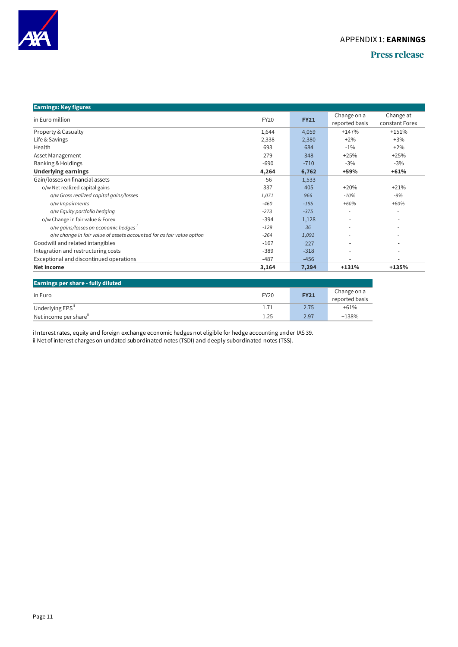

| <b>Earnings: Key figures</b>                                          |             |             |                               |                             |
|-----------------------------------------------------------------------|-------------|-------------|-------------------------------|-----------------------------|
| in Euro million                                                       | <b>FY20</b> | <b>FY21</b> | Change on a<br>reported basis | Change at<br>constant Forex |
| Property & Casualty                                                   | 1,644       | 4,059       | $+147%$                       | $+151%$                     |
| Life & Savings                                                        | 2,338       | 2,380       | $+2\%$                        | $+3%$                       |
| Health                                                                | 693         | 684         | $-1\%$                        | $+2%$                       |
| Asset Management                                                      | 279         | 348         | $+25%$                        | $+25%$                      |
| <b>Banking &amp; Holdings</b>                                         | $-690$      | $-710$      | $-3%$                         | $-3%$                       |
| <b>Underlying earnings</b>                                            | 4,264       | 6,762       | $+59%$                        | $+61%$                      |
| Gain/losses on financial assets                                       | $-56$       | 1,533       |                               | ٠                           |
| o/w Net realized capital gains                                        | 337         | 405         | $+20%$                        | $+21%$                      |
| o/w Gross realized capital gains/losses                               | 1,071       | 966         | $-10%$                        | $-9%$                       |
| o/w Impairments                                                       | $-460$      | $-185$      | $+60%$                        | $+60%$                      |
| o/w Equity portfolio hedging                                          | $-273$      | $-375$      | ٠                             | $\overline{\phantom{0}}$    |
| o/w Change in fair value & Forex                                      | $-394$      | 1,128       |                               |                             |
| o/w gains/losses on economic hedges'                                  | $-129$      | 36          |                               | ٠                           |
| o/w change in fair value of assets accounted for as fair value option | $-264$      | 1,091       |                               |                             |
| Goodwill and related intangibles                                      | $-167$      | $-227$      |                               |                             |
| Integration and restructuring costs                                   | $-389$      | $-318$      | ٠                             | ٠                           |
| Exceptional and discontinued operations                               | $-487$      | $-456$      |                               |                             |
| <b>Net income</b>                                                     | 3,164       | 7,294       | $+131%$                       | $+135%$                     |

| <b>Earnings per share - fully diluted</b> |      |             |                               |
|-------------------------------------------|------|-------------|-------------------------------|
| in Euro                                   | FY20 | <b>FY21</b> | Change on a<br>reported basis |
|                                           |      |             |                               |
| Underlying EPS"                           | 1.71 | 2.75        | $+61%$                        |
| Net income per share"                     | 1.25 | 2.97        | $+138%$                       |
|                                           |      |             |                               |

i Interest rates, equity and foreign exchange economic hedges not eligible for hedge accounting under IAS 39. ii Net of interest charges on undated subordinated notes (TSDI) and deeply subordinated notes (TSS).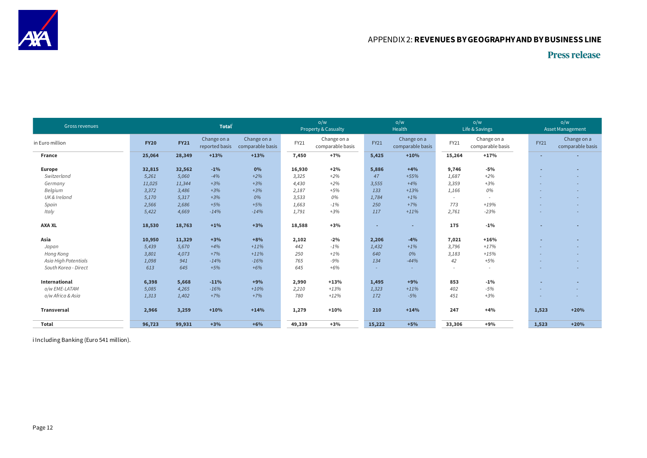

### APPENDIX 2: **REVENUES BY GEOGRAPHY AND BY BUSINESS LINE**

### **Press release**

| <b>Gross revenues</b> |             |             | <b>Total</b>                  |                                 |        | O/W<br>Property & Casualty      |             | O/W<br>Health                   |        | O/W<br>Life & Savings           |                          | O/W<br><b>Asset Management</b>  |  |
|-----------------------|-------------|-------------|-------------------------------|---------------------------------|--------|---------------------------------|-------------|---------------------------------|--------|---------------------------------|--------------------------|---------------------------------|--|
| in Euro million       | <b>FY20</b> | <b>FY21</b> | Change on a<br>reported basis | Change on a<br>comparable basis | FY21   | Change on a<br>comparable basis | <b>FY21</b> | Change on a<br>comparable basis | FY21   | Change on a<br>comparable basis | <b>FY21</b>              | Change on a<br>comparable basis |  |
| <b>France</b>         | 25,064      | 28,349      | $+13%$                        | $+13%$                          | 7,450  | $+7%$                           | 5,425       | $+10%$                          | 15,264 | $+17%$                          | $\overline{\phantom{a}}$ |                                 |  |
| Europe                | 32,815      | 32,562      | $-1%$                         | 0%                              | 16,930 | $+2%$                           | 5,886       | $+4%$                           | 9,746  | $-5%$                           |                          | ٠                               |  |
| Switzerland           | 5,261       | 5,060       | $-4%$                         | $+2%$                           | 3,325  | $+2%$                           | 47          | $+55%$                          | 1,687  | $+2%$                           |                          |                                 |  |
| Germany               | 11,025      | 11,344      | $+3%$                         | $+3%$                           | 4,430  | $+2%$                           | 3,555       | $+4%$                           | 3,359  | $+3%$                           |                          |                                 |  |
| Belgium               | 3,372       | 3,486       | $+3%$                         | $+3%$                           | 2,187  | $+5%$                           | 133         | $+13%$                          | 1,166  | 0%                              |                          |                                 |  |
| UK & Ireland          | 5,170       | 5,317       | $+3%$                         | 0%                              | 3,533  | 0%                              | 1,784       | $+1%$                           | $\sim$ | $\sim$                          |                          |                                 |  |
| Spain                 | 2,566       | 2,686       | $+5%$                         | $+5%$                           | 1,663  | $-1%$                           | 250         | $+7%$                           | 773    | $+19%$                          |                          |                                 |  |
| Italy                 | 5,422       | 4,669       | $-14%$                        | $-14%$                          | 1,791  | $+3%$                           | 117         | $+11%$                          | 2,761  | $-23%$                          |                          |                                 |  |
| <b>AXA XL</b>         | 18,530      | 18,763      | $+1%$                         | $+3%$                           | 18,588 | $+3%$                           | ٠           | ٠                               | 175    | $-1%$                           |                          | ٠                               |  |
| Asia                  | 10,950      | 11,329      | $+3%$                         | $+8%$                           | 2,102  | $-2%$                           | 2,206       | $-4%$                           | 7,021  | $+16%$                          |                          | ٠                               |  |
| Japan                 | 5,439       | 5,670       | $+4%$                         | $+11%$                          | 442    | $-1%$                           | 1.432       | $+1%$                           | 3,796  | $+17%$                          |                          |                                 |  |
| Hong Kong             | 3,801       | 4,073       | $+7%$                         | $+11%$                          | 250    | $+1%$                           | 640         | 0%                              | 3,183  | $+15%$                          |                          |                                 |  |
| Asia High Potentials  | 1,098       | 941         | $-14%$                        | $-16%$                          | 765    | $-9%$                           | 134         | $-44%$                          | 42     | $+5%$                           |                          |                                 |  |
| South Korea - Direct  | 613         | 645         | $+5%$                         | $+6%$                           | 645    | $+6%$                           | ×.          |                                 | $\sim$ | $\overline{\phantom{a}}$        |                          |                                 |  |
| <b>International</b>  | 6,398       | 5,668       | $-11%$                        | $+9%$                           | 2,990  | $+13%$                          | 1,495       | $+9%$                           | 853    | $-1%$                           |                          |                                 |  |
| o/w EME-LATAM         | 5,085       | 4,265       | $-16%$                        | $+10%$                          | 2,210  | $+13%$                          | 1,323       | $+11%$                          | 402    | $-5%$                           |                          |                                 |  |
| o/w Africa & Asia     | 1,313       | 1,402       | $+7%$                         | $+7%$                           | 780    | $+12%$                          | 172         | $-5%$                           | 451    | $+3%$                           |                          |                                 |  |
| <b>Transversal</b>    | 2,966       | 3,259       | $+10%$                        | $+14%$                          | 1,279  | $+10%$                          | 210         | $+14%$                          | 247    | $+4%$                           | 1,523                    | $+20%$                          |  |
| <b>Total</b>          | 96,723      | 99,931      | $+3%$                         | $+6%$                           | 49,339 | $+3%$                           | 15,222      | $+5%$                           | 33,306 | $+9%$                           | 1,523                    | $+20%$                          |  |

i Including Banking (Euro 541 million).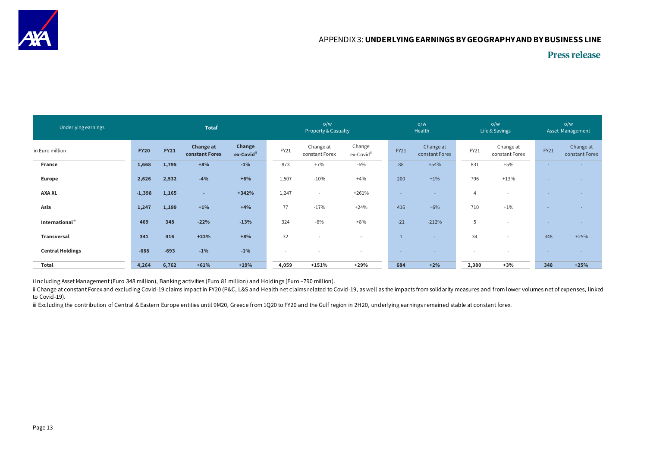

| Underlying earnings     |             | Total       |                                    |                     | O/W<br>Property & Casualty |                             |                          | O/W<br>Health |                             | O/W<br>Life & Savings |                             | O/W<br>Asset Management |                             |
|-------------------------|-------------|-------------|------------------------------------|---------------------|----------------------------|-----------------------------|--------------------------|---------------|-----------------------------|-----------------------|-----------------------------|-------------------------|-----------------------------|
| in Euro million         | <b>FY20</b> | <b>FY21</b> | <b>Change at</b><br>constant Forex | Change<br>ex-Covid" | FY21                       | Change at<br>constant Forex | Change<br>ex-Covid"      | <b>FY21</b>   | Change at<br>constant Forex | FY21                  | Change at<br>constant Forex | FY21                    | Change at<br>constant Forex |
| France                  | 1,668       | 1,795       | $+8%$                              | $-1%$               | 873                        | $+7%$                       | $-6%$                    | 88            | $+54%$                      | 831                   | $+5%$                       |                         |                             |
| <b>Europe</b>           | 2,626       | 2,532       | $-4%$                              | $+6%$               | 1,507                      | $-10%$                      | $+4%$                    | 200           | $+1%$                       | 796                   | $+13%$                      |                         |                             |
| <b>AXA XL</b>           | $-1,398$    | 1,165       | ٠                                  | $+342%$             | 1,247                      | $\overline{\phantom{a}}$    | $+261%$                  | х.            |                             | 4                     | $\overline{\phantom{a}}$    |                         |                             |
| Asia                    | 1,247       | 1,199       | $+1\%$                             | $+4%$               | 77                         | $-17%$                      | $+24%$                   | 416           | $+6%$                       | 710                   | $+1%$                       |                         |                             |
| Internationalii         | 469         | 348         | $-22%$                             | $-13%$              | 324                        | $-6%$                       | $+8%$                    | $-21$         | $-212%$                     | 5                     | $\overline{\phantom{a}}$    |                         |                             |
| Transversal             | 341         | 416         | $+22%$                             | $+8%$               | 32                         | $\overline{\phantom{a}}$    | $\overline{\phantom{a}}$ |               | $\sim$                      | 34                    | $\overline{\phantom{a}}$    | 348                     | $+25%$                      |
| <b>Central Holdings</b> | $-688$      | $-693$      | $-1%$                              | $-1%$               | $\overline{\phantom{a}}$   |                             | $\overline{\phantom{a}}$ |               |                             | $\sim$                | $\overline{\phantom{a}}$    |                         |                             |
| <b>Total</b>            | 4,264       | 6,762       | $+61%$                             | $+19%$              | 4,059                      | $+151%$                     | $+29%$                   | 684           | $+2%$                       | 2,380                 | $+3%$                       | 348                     | $+25%$                      |

i Including Asset Management (Euro 348 million), Banking activities (Euro 81 million) and Holdings (Euro –790 million).

ii Change at constant Forex and excluding Covid-19 claims impact in FY20 (P&C, L&S and Health net claims related to Covid-19, as well as the impacts from solidarity measures and from lower volumes net of expenses, linked to Covid-19).

iii Excluding the contribution of Central & Eastern Europe entities until 9M20, Greece from 1Q20 to FY20 and the Gulf region in 2H20, underlying earnings remained stable at constant forex.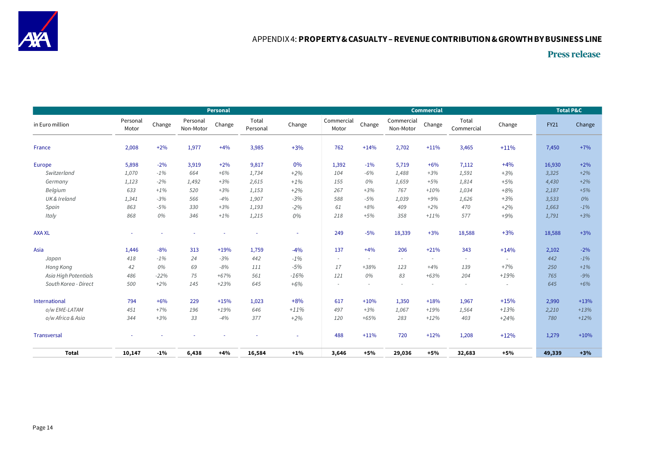

|                      |                   |        |                       | <b>Personal</b> |                   |        |                     |        |                          | <b>Commercial</b> |                          |                          |             | Total P&C |
|----------------------|-------------------|--------|-----------------------|-----------------|-------------------|--------|---------------------|--------|--------------------------|-------------------|--------------------------|--------------------------|-------------|-----------|
| in Euro million      | Personal<br>Motor | Change | Personal<br>Non-Motor | Change          | Total<br>Personal | Change | Commercial<br>Motor | Change | Commercial<br>Non-Motor  | Change            | Total<br>Commercial      | Change                   | <b>FY21</b> | Change    |
| France               | 2,008             | $+2%$  | 1,977                 | $+4%$           | 3,985             | $+3%$  | 762                 | $+14%$ | 2,702                    | $+11%$            | 3,465                    | $+11%$                   | 7,450       | $+7%$     |
| Europe               | 5,898             | $-2%$  | 3,919                 | $+2%$           | 9,817             | 0%     | 1,392               | $-1\%$ | 5,719                    | $+6%$             | 7,112                    | $+4%$                    | 16,930      | $+2%$     |
| Switzerland          | 1,070             | $-1%$  | 664                   | $+6%$           | 1,734             | $+2%$  | 104                 | $-6%$  | 1,488                    | $+3%$             | 1,591                    | $+3%$                    | 3,325       | $+2%$     |
| Germany              | 1,123             | $-2%$  | 1,492                 | $+3%$           | 2,615             | $+1%$  | 155                 | 0%     | 1,659                    | $+5%$             | 1,814                    | $+5%$                    | 4,430       | $+2%$     |
| Belgium              | 633               | $+1\%$ | 520                   | $+3%$           | 1,153             | $+2%$  | 267                 | $+3%$  | 767                      | $+10%$            | 1,034                    | $+8%$                    | 2,187       | $+5%$     |
| UK & Ireland         | 1,341             | $-3%$  | 566                   | $-4%$           | 1,907             | $-3%$  | 588                 | $-5%$  | 1,039                    | $+9%$             | 1,626                    | $+3%$                    | 3,533       | 0%        |
| Spain                | 863               | $-5%$  | 330                   | $+3%$           | 1,193             | $-2%$  | 61                  | $+8%$  | 409                      | $+2%$             | 470                      | $+2%$                    | 1,663       | $-1%$     |
| Italy                | 868               | 0%     | 346                   | $+1\%$          | 1,215             | 0%     | 218                 | $+5%$  | 358                      | $+11%$            | 577                      | $+9%$                    | 1,791       | $+3%$     |
| <b>AXA XL</b>        |                   |        |                       |                 |                   |        | 249                 | $-5%$  | 18,339                   | $+3%$             | 18,588                   | $+3%$                    | 18,588      | $+3%$     |
| Asia                 | 1,446             | $-8%$  | 313                   | $+19%$          | 1,759             | $-4%$  | 137                 | $+4%$  | 206                      | $+21%$            | 343                      | $+14%$                   | 2,102       | $-2%$     |
| Japan                | 418               | $-1%$  | 24                    | $-3%$           | 442               | $-1%$  | $\sim$              |        | $\sim$                   | $\sim$            | $\overline{\phantom{a}}$ |                          | 442         | $-1%$     |
| Hong Kong            | 42                | 0%     | 69                    | $-8%$           | 111               | $-5%$  | 17                  | +38%   | 123                      | $+4%$             | 139                      | $+7%$                    | 250         | $+1%$     |
| Asia High Potentials | 486               | $-22%$ | 75                    | $+67%$          | 561               | $-16%$ | 121                 | 0%     | 83                       | $+63%$            | 204                      | $+19%$                   | 765         | $-9%$     |
| South Korea - Direct | 500               | $+2%$  | 145                   | $+23%$          | 645               | $+6%$  | $\sim$              | $\sim$ | $\overline{\phantom{a}}$ |                   | $\sim$                   | $\overline{\phantom{a}}$ | 645         | $+6%$     |
| International        | 794               | $+6%$  | 229                   | $+15%$          | 1,023             | $+8%$  | 617                 | $+10%$ | 1,350                    | $+18%$            | 1,967                    | $+15%$                   | 2,990       | $+13%$    |
| o/w EME-LATAM        | 451               | $+7%$  | 196                   | $+19%$          | 646               | $+11%$ | 497                 | $+3%$  | 1,067                    | $+19%$            | 1,564                    | $+13%$                   | 2,210       | $+13%$    |
| o/w Africa & Asia    | 344               | $+3%$  | 33                    | $-4%$           | 377               | $+2%$  | 120                 | $+65%$ | 283                      | $+12%$            | 403                      | $+24%$                   | 780         | $+12%$    |
| <b>Transversal</b>   |                   |        |                       |                 |                   |        | 488                 | $+11%$ | 720                      | $+12%$            | 1,208                    | $+12%$                   | 1,279       | $+10%$    |
| <b>Total</b>         | 10,147            | $-1\%$ | 6,438                 | $+4%$           | 16,584            | $+1%$  | 3,646               | $+5%$  | 29,036                   | $+5%$             | 32,683                   | $+5%$                    | 49,339      | $+3%$     |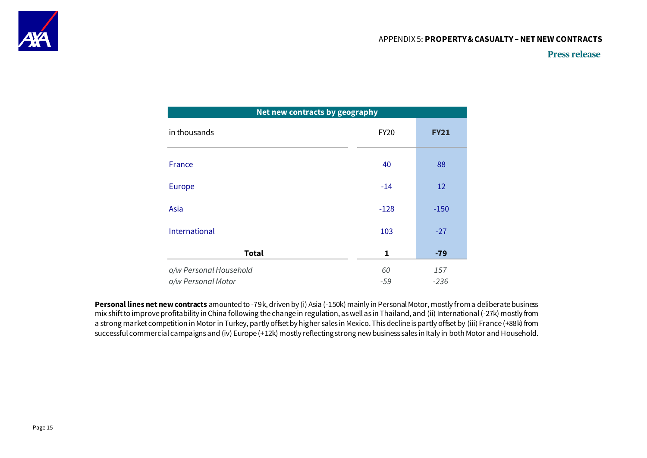

| Net new contracts by geography |             |             |
|--------------------------------|-------------|-------------|
| in thousands                   | <b>FY20</b> | <b>FY21</b> |
| France                         | 40          | 88          |
| Europe                         | $-14$       | 12          |
| Asia                           | $-128$      | $-150$      |
| International                  | 103         | $-27$       |
| <b>Total</b>                   | 1           | -79         |
| o/w Personal Household         | 60          | 157         |
| o/w Personal Motor             | -59         | $-236$      |

Personal lines net new contracts amounted to -79k, driven by (i) Asia (-150k) mainly in Personal Motor, mostly from a deliberate business mix shift to improve profitability in China following the change in regulation, as well as in Thailand, and (ii) International (-27k) mostly from a strong market competition in Motor in Turkey, partly offset by higher sales in Mexico. This decline is partly offset by (iii) France (+88k) from successful commercial campaigns and (iv) Europe (+12k) mostly reflecting strong new business sales in Italy in both Motor and Household.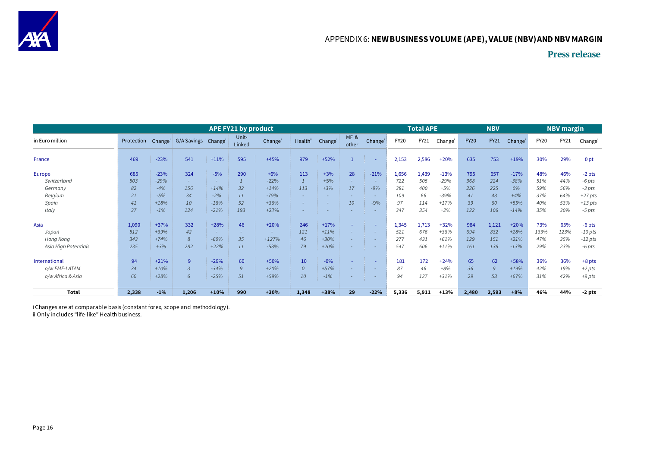

|                      |            |                     |                    |        | APE FY21 by product |                     |                      |                     |              |            |             | <b>Total APE</b> |         |             | <b>NBV</b>     |                     |             | <b>NBV</b> margin |                     |
|----------------------|------------|---------------------|--------------------|--------|---------------------|---------------------|----------------------|---------------------|--------------|------------|-------------|------------------|---------|-------------|----------------|---------------------|-------------|-------------------|---------------------|
| in Euro million      | Protection | Change <sup>1</sup> | G/A Savings Change |        | Unit-<br>Linked     | Change <sup>'</sup> | Health <sup>ii</sup> | Change <sup>1</sup> | MF&<br>other | Change'    | <b>FY20</b> | FY21             | Change' | <b>FY20</b> | <b>FY21</b>    | Change <sup>'</sup> | <b>FY20</b> | FY21              | Change <sup>'</sup> |
| France               | 469        | $-23%$              | 541                | $+11%$ | 595                 | $+45%$              | 979                  | $+52%$              |              | <b>COL</b> | 2,153       | 2,586            | $+20%$  | 635         | 753            | $+19%$              | 30%         | 29%               | 0 <sub>pt</sub>     |
| Europe               | 685        | $-23%$              | 324                | $-5%$  | 290                 | $+6%$               | 113                  | $+3%$               | 28           | $-21%$     | 1,656       | 1,439            | $-13%$  | 795         | 657            | $-17%$              | 48%         | 46%               | $-2$ pts            |
| Switzerland          | 503        | $-29%$              | $\sim$             | ×.     | $\overline{1}$      | $-22%$              |                      | $+5%$               |              | a.         | 722         | 505              | $-29%$  | 368         | 224            | $-38%$              | 51%         | 44%               | $-6$ pts            |
| Germany              | 82         | $-4%$               | 156                | $+14%$ | 32                  | $+14%$              | 113                  | $+3%$               | 17           | $-9%$      | 381         | 400              | $+5%$   | 226         | 225            | 0%                  | 59%         | 56%               | $-3$ pts            |
| Belgium              | 21         | $-5%$               | 34                 | $-2%$  | 11                  | $-79%$              |                      |                     |              | $\sim$     | 109         | 66               | $-39%$  | 41          | 43             | $+4%$               | 37%         | 64%               | $+27$ pts           |
| Spain                | 41         | $+18%$              | 10                 | $-18%$ | 52                  | $+36%$              |                      |                     | 10           | $-9%$      | 97          | 114              | $+17%$  | 39          | 60             | $+55%$              | 40%         | 53%               | $+13$ pts           |
| Italy                | 37         | $-1%$               | 124                | $-21%$ | 193                 | $+27%$              |                      |                     |              |            | 347         | 354              | $+2%$   | 122         | 106            | $-14%$              | 35%         | 30%               | $-5$ pts            |
| Asia                 | 1,090      | $+37%$              | 332                | $+28%$ | 46                  | $+20%$              | 246                  | $+17%$              |              | $\sim$     | 1,345       | 1,713            | $+32%$  | 984         | 1,121          | $+20%$              | 73%         | 65%               | $-6$ pts            |
| Japan                | 512        | +39%                | 42                 | ×.     | $\sim$              |                     | 121                  | $+11%$              |              |            | 521         | 676              | +38%    | 694         | 832            | $+28%$              | 133%        | 123%              | $-10$ pts           |
| Hong Kong            | 343        | $+74%$              | 8                  | $-60%$ | 35                  | $+127%$             | 46                   | $+30%$              |              | $\sim$     | 277         | 431              | $+61%$  | 129         | 151            | $+21%$              | 47%         | 35%               | $-12$ pts           |
| Asia High Potentials | 235        | $+3%$               | 282                | $+22%$ | 11                  | $-53%$              | 79                   | $+20%$              |              |            | 547         | 606              | $+11%$  | 161         | 138            | $-13%$              | 29%         | 23%               | $-6$ pts            |
| International        | 94         | $+21%$              | 9                  | $-29%$ | 60                  | $+50%$              | 10                   | $-0%$               |              | $\sim$     | 181         | 172              | $+24%$  | 65          | 62             | +58%                | 36%         | 36%               | $+8$ pts            |
| o/w EME-LATAM        | 34         | $+10%$              | $\overline{3}$     | $-34%$ | $\overline{9}$      | $+20%$              | $\Omega$             | $+57%$              |              |            | 87          | 46               | $+8%$   | 36          | $\overline{9}$ | $+19%$              | 42%         | 19%               | $+2$ pts            |
| o/w Africa & Asia    | 60         | $+28%$              | 6                  | $-25%$ | 51                  | +59%                | 10                   | $-1%$               | $\sim$       | $\sim$     | 94          | 127              | $+31%$  | 29          | 53             | $+67%$              | 31%         | 42%               | $+9$ pts            |
| <b>Total</b>         | 2,338      | $-1\%$              | 1,206              | $+10%$ | 990                 | +30%                | 1,348                | +38%                | 29           | $-22%$     | 5,336       | 5,911            | $+13%$  | 2,480       | 2,593          | $+8%$               | 46%         | 44%               | $-2$ pts            |

i Changes are at comparable basis (constant forex, scope and methodology). ii Only includes "life-like" Health business.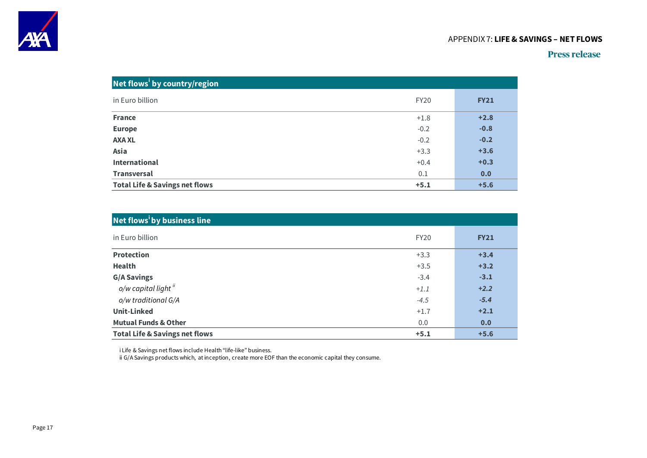

#### APPENDIX 7: **LIFE & SAVINGS – NET FLOWS**

### **Press release**

| Net flows <sup>i</sup> by country/region  |             |             |
|-------------------------------------------|-------------|-------------|
| in Euro billion                           | <b>FY20</b> | <b>FY21</b> |
| <b>France</b>                             | $+1.8$      | $+2.8$      |
| <b>Europe</b>                             | $-0.2$      | $-0.8$      |
| <b>AXA XL</b>                             | $-0.2$      | $-0.2$      |
| Asia                                      | $+3.3$      | $+3.6$      |
| <b>International</b>                      | $+0.4$      | $+0.3$      |
| <b>Transversal</b>                        | 0.1         | 0.0         |
| <b>Total Life &amp; Savings net flows</b> | $+5.1$      | $+5.6$      |

| Net flows by business line                |             |             |
|-------------------------------------------|-------------|-------------|
| in Euro billion                           | <b>FY20</b> | <b>FY21</b> |
| <b>Protection</b>                         | $+3.3$      | $+3.4$      |
| <b>Health</b>                             | $+3.5$      | $+3.2$      |
| <b>G/A Savings</b>                        | $-3.4$      | $-3.1$      |
| o/w capital light $^{\it ii}$             | $+1.1$      | $+2.2$      |
| o/w traditional G/A                       | $-4.5$      | $-5.4$      |
| <b>Unit-Linked</b>                        | $+1.7$      | $+2.1$      |
| <b>Mutual Funds &amp; Other</b>           | 0.0         | 0.0         |
| <b>Total Life &amp; Savings net flows</b> | $+5.1$      | $+5.6$      |

i Life & Savings net flows include Health "life-like" business.

ii G/A Savings products which, at inception, create more EOF than the economic capital they consume.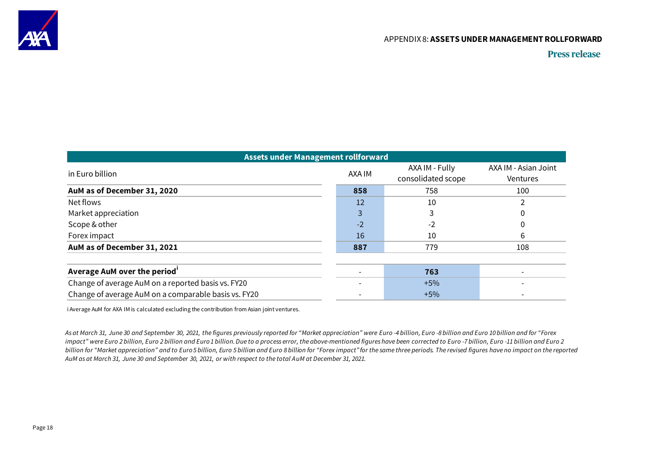

#### APPENDIX 8: **ASSETS UNDER MANAGEMENT ROLLFORWARD**

#### **Press release**

| Assets under Management rollforward                  |        |                    |                      |  |  |  |  |  |  |  |
|------------------------------------------------------|--------|--------------------|----------------------|--|--|--|--|--|--|--|
| in Euro billion                                      |        | AXA IM - Fully     | AXA IM - Asian Joint |  |  |  |  |  |  |  |
|                                                      | AXA IM | consolidated scope | Ventures             |  |  |  |  |  |  |  |
| AuM as of December 31, 2020                          | 858    | 758                | 100                  |  |  |  |  |  |  |  |
| Net flows                                            | 12     | 10                 |                      |  |  |  |  |  |  |  |
| Market appreciation                                  |        |                    |                      |  |  |  |  |  |  |  |
| Scope & other                                        | $-2$   | $-2$               |                      |  |  |  |  |  |  |  |
| Forex impact                                         | 16     | 10                 | 6                    |  |  |  |  |  |  |  |
| AuM as of December 31, 2021                          | 887    | 779                | 108                  |  |  |  |  |  |  |  |
|                                                      |        |                    |                      |  |  |  |  |  |  |  |
| Average AuM over the period'                         |        | 763                |                      |  |  |  |  |  |  |  |
| Change of average AuM on a reported basis vs. FY20   |        | $+5%$              |                      |  |  |  |  |  |  |  |
| Change of average AuM on a comparable basis vs. FY20 |        | $+5%$              |                      |  |  |  |  |  |  |  |

i Average AuM for AXA IM is calculated excluding the contribution from Asian joint ventures.

As at March 31, June 30 and September 30, 2021, the figures previously reported for "Market appreciation" were Euro -4 billion, Euro -8 billion and Euro 10 billion and for "Forex impact" were Euro 2 billion, Euro 2 billion and Euro 1 billion. Due to a process error, the above-mentioned figures have been corrected to Euro -7 billion, Euro -11 billion and Euro 2 billion for "Market appreciation" and to Euro 5 billion, Euro 5 billion and Euro 8 billion for "Forex impact" for the same three periods. The revised figures have no impact on the reported *AuM as at March 31, June 30 and September 30, 2021, or with respect to the total AuM at December 31, 2021.*